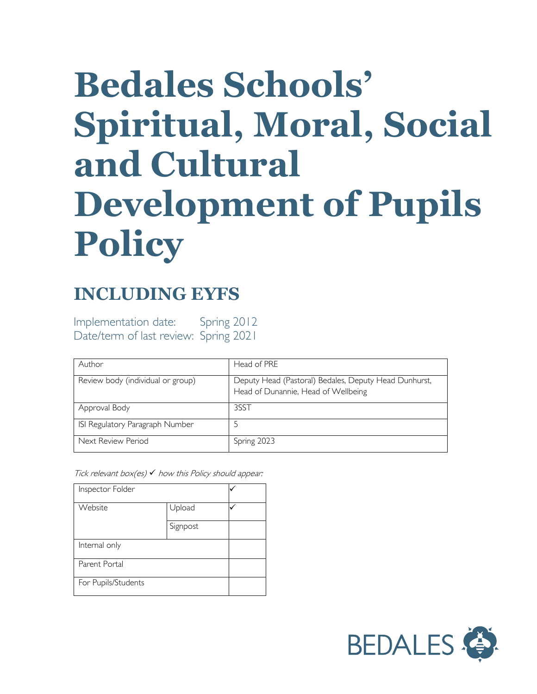# **Bedales Schools' Spiritual, Moral, Social and Cultural Development of Pupils Policy**

## **INCLUDING EYFS**

Implementation date: Spring 2012 Date/term of last review: Spring 2021

| Author                            | Head of PRE                                                                                  |
|-----------------------------------|----------------------------------------------------------------------------------------------|
| Review body (individual or group) | Deputy Head (Pastoral) Bedales, Deputy Head Dunhurst,<br>Head of Dunannie, Head of Wellbeing |
| Approval Body                     | 3SST                                                                                         |
| ISI Regulatory Paragraph Number   |                                                                                              |
| Next Review Period                | Spring 2023                                                                                  |

Tick relevant box(es)  $\checkmark$  how this Policy should appear:

| Inspector Folder    |          |  |
|---------------------|----------|--|
|                     |          |  |
| Website             | Upload   |  |
|                     |          |  |
|                     | Signpost |  |
|                     |          |  |
| Internal only       |          |  |
|                     |          |  |
|                     |          |  |
| Parent Portal       |          |  |
|                     |          |  |
| For Pupils/Students |          |  |
|                     |          |  |

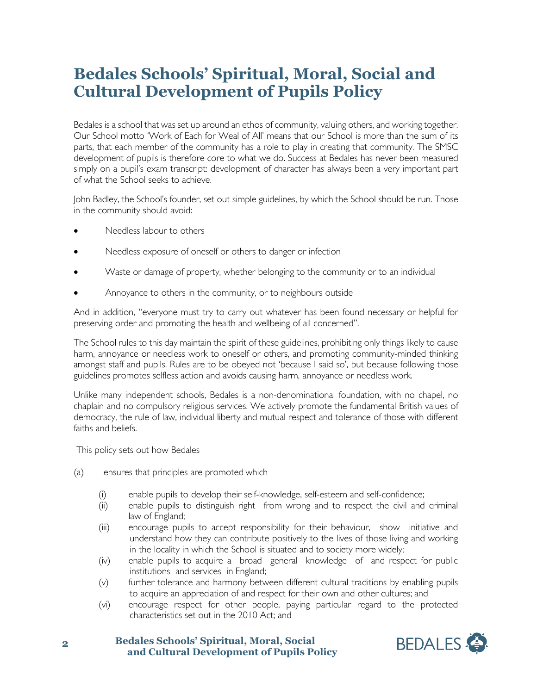### **Bedales Schools' Spiritual, Moral, Social and Cultural Development of Pupils Policy**

Bedales is a school that was set up around an ethos of community, valuing others, and working together. Our School motto 'Work of Each for Weal of All' means that our School is more than the sum of its parts, that each member of the community has a role to play in creating that community. The SMSC development of pupils is therefore core to what we do. Success at Bedales has never been measured simply on a pupil's exam transcript: development of character has always been a very important part of what the School seeks to achieve.

John Badley, the School's founder, set out simple guidelines, by which the School should be run. Those in the community should avoid:

- Needless labour to others
- Needless exposure of oneself or others to danger or infection
- Waste or damage of property, whether belonging to the community or to an individual
- Annoyance to others in the community, or to neighbours outside

And in addition, "everyone must try to carry out whatever has been found necessary or helpful for preserving order and promoting the health and wellbeing of all concerned".

The School rules to this day maintain the spirit of these guidelines, prohibiting only things likely to cause harm, annoyance or needless work to oneself or others, and promoting community-minded thinking amongst staff and pupils. Rules are to be obeyed not 'because I said so', but because following those guidelines promotes selfless action and avoids causing harm, annoyance or needless work.

Unlike many independent schools, Bedales is a non-denominational foundation, with no chapel, no chaplain and no compulsory religious services. We actively promote the fundamental British values of democracy, the rule of law, individual liberty and mutual respect and tolerance of those with different faiths and beliefs.

This policy sets out how Bedales

- (a) ensures that principles are promoted which
	- (i) enable pupils to develop their self-knowledge, self-esteem and self-confidence;
	- (ii) enable pupils to distinguish right from wrong and to respect the civil and criminal law of England;
	- (iii) encourage pupils to accept responsibility for their behaviour, show initiative and understand how they can contribute positively to the lives of those living and working in the locality in which the School is situated and to society more widely;
	- (iv) enable pupils to acquire a broad general knowledge of and respect for public institutions and services in England;
	- (v) further tolerance and harmony between different cultural traditions by enabling pupils to acquire an appreciation of and respect for their own and other cultures; and
	- (vi) encourage respect for other people, paying particular regard to the protected characteristics set out in the 2010 Act; and

**2 Bedales Schools' Spiritual, Moral, Social and Cultural Development of Pupils Policy** 

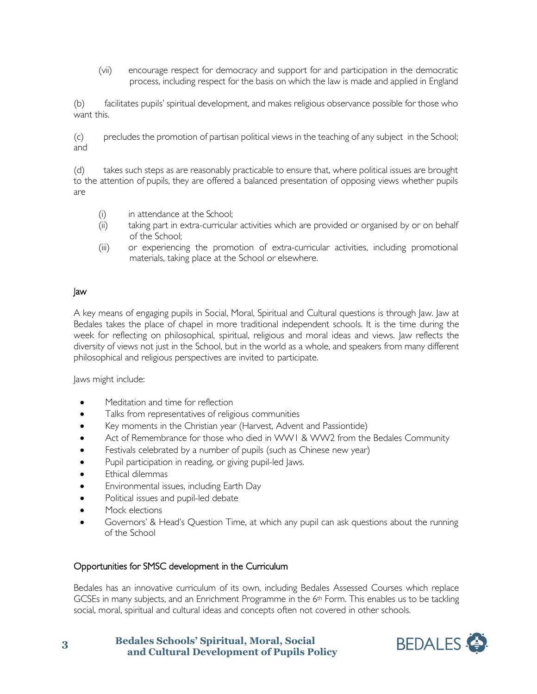(vii) encourage respect for democracy and support for and participation in the democratic process, including respect for the basis on which the law is made and applied in England

(b) facilitates pupils' spiritual development, and makes religious observance possible for those who want this.

(c) precludes the promotion of partisan political views in the teaching of any subject in the School; and

(d) takes such steps as are reasonably practicable to ensure that, where political issues are brought to the attention of pupils, they are offered a balanced presentation of opposing views whether pupils are

- (i) in attendance at the School;
- (ii) taking part in extra-curricular activities which are provided or organised by or on behalf of the School;
- (iii) or experiencing the promotion of extra-curricular activities, including promotional materials, taking place at the School or elsewhere.

#### Jaw

A key means of engaging pupils in Social, Moral, Spiritual and Cultural questions is through Jaw. Jaw at Bedales takes the place of chapel in more traditional independent schools. It is the time during the week for reflecting on philosophical, spiritual, religious and moral ideas and views. Jaw reflects the diversity of views not just in the School, but in the world as a whole, and speakers from many different philosophical and religious perspectives are invited to participate.

Jaws might include:

- Meditation and time for reflection
- Talks from representatives of religious communities
- Key moments in the Christian year (Harvest, Advent and Passiontide)
- Act of Remembrance for those who died in WW1 & WW2 from the Bedales Community
- Festivals celebrated by a number of pupils (such as Chinese new year)
- Pupil participation in reading, or giving pupil-led Jaws.
- Ethical dilemmas
- Environmental issues, including Earth Day
- Political issues and pupil-led debate
- Mock elections
- Governors' & Head's Question Time, at which any pupil can ask questions about the running of the School

#### Opportunities for SMSC development in the Curriculum

Bedales has an innovative curriculum of its own, including Bedales Assessed Courses which replace GCSEs in many subjects, and an Enrichment Programme in the 6<sup>th</sup> Form. This enables us to be tackling social, moral, spiritual and cultural ideas and concepts often not covered in other schools.

**3 Bedales Schools' Spiritual, Moral, Social and Cultural Development of Pupils Policy** 

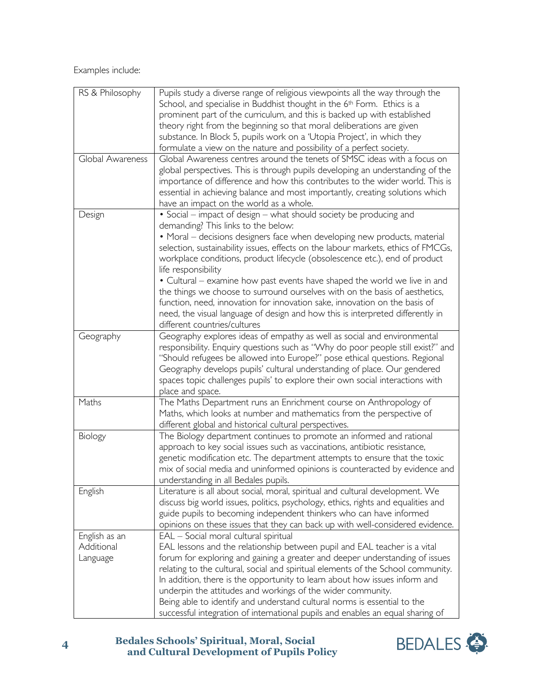Examples include:

| RS & Philosophy  | Pupils study a diverse range of religious viewpoints all the way through the                                                                               |
|------------------|------------------------------------------------------------------------------------------------------------------------------------------------------------|
|                  | School, and specialise in Buddhist thought in the 6 <sup>th</sup> Form. Ethics is a                                                                        |
|                  | prominent part of the curriculum, and this is backed up with established                                                                                   |
|                  | theory right from the beginning so that moral deliberations are given                                                                                      |
|                  | substance. In Block 5, pupils work on a 'Utopia Project', in which they                                                                                    |
|                  | formulate a view on the nature and possibility of a perfect society.                                                                                       |
| Global Awareness | Global Awareness centres around the tenets of SMSC ideas with a focus on                                                                                   |
|                  | global perspectives. This is through pupils developing an understanding of the                                                                             |
|                  | importance of difference and how this contributes to the wider world. This is                                                                              |
|                  | essential in achieving balance and most importantly, creating solutions which                                                                              |
|                  | have an impact on the world as a whole.                                                                                                                    |
| Design           | • Social – impact of design – what should society be producing and                                                                                         |
|                  | demanding? This links to the below:                                                                                                                        |
|                  | • Moral - decisions designers face when developing new products, material                                                                                  |
|                  | selection, sustainability issues, effects on the labour markets, ethics of FMCGs,                                                                          |
|                  | workplace conditions, product lifecycle (obsolescence etc.), end of product                                                                                |
|                  | life responsibility                                                                                                                                        |
|                  | • Cultural – examine how past events have shaped the world we live in and                                                                                  |
|                  | the things we choose to surround ourselves with on the basis of aesthetics,                                                                                |
|                  | function, need, innovation for innovation sake, innovation on the basis of                                                                                 |
|                  | need, the visual language of design and how this is interpreted differently in<br>different countries/cultures                                             |
| Geography        | Geography explores ideas of empathy as well as social and environmental                                                                                    |
|                  | responsibility. Enquiry questions such as "Why do poor people still exist?" and                                                                            |
|                  | "Should refugees be allowed into Europe?" pose ethical questions. Regional                                                                                 |
|                  | Geography develops pupils' cultural understanding of place. Our gendered                                                                                   |
|                  | spaces topic challenges pupils' to explore their own social interactions with                                                                              |
|                  | place and space.                                                                                                                                           |
| Maths            | The Maths Department runs an Enrichment course on Anthropology of                                                                                          |
|                  | Maths, which looks at number and mathematics from the perspective of                                                                                       |
|                  | different global and historical cultural perspectives.                                                                                                     |
| Biology          | The Biology department continues to promote an informed and rational                                                                                       |
|                  | approach to key social issues such as vaccinations, antibiotic resistance,                                                                                 |
|                  | genetic modification etc. The department attempts to ensure that the toxic                                                                                 |
|                  | mix of social media and uninformed opinions is counteracted by evidence and                                                                                |
|                  | understanding in all Bedales pupils.                                                                                                                       |
| English          | Literature is all about social, moral, spiritual and cultural development. We                                                                              |
|                  | discuss big world issues, politics, psychology, ethics, rights and equalities and                                                                          |
|                  | guide pupils to becoming independent thinkers who can have informed                                                                                        |
|                  | opinions on these issues that they can back up with well-considered evidence.                                                                              |
| English as an    | EAL - Social moral cultural spiritual                                                                                                                      |
| Additional       | EAL lessons and the relationship between pupil and EAL teacher is a vital                                                                                  |
| Language         | forum for exploring and gaining a greater and deeper understanding of issues                                                                               |
|                  | relating to the cultural, social and spiritual elements of the School community.                                                                           |
|                  | In addition, there is the opportunity to learn about how issues inform and                                                                                 |
|                  | underpin the attitudes and workings of the wider community.                                                                                                |
|                  |                                                                                                                                                            |
|                  | Being able to identify and understand cultural norms is essential to the<br>successful integration of international pupils and enables an equal sharing of |



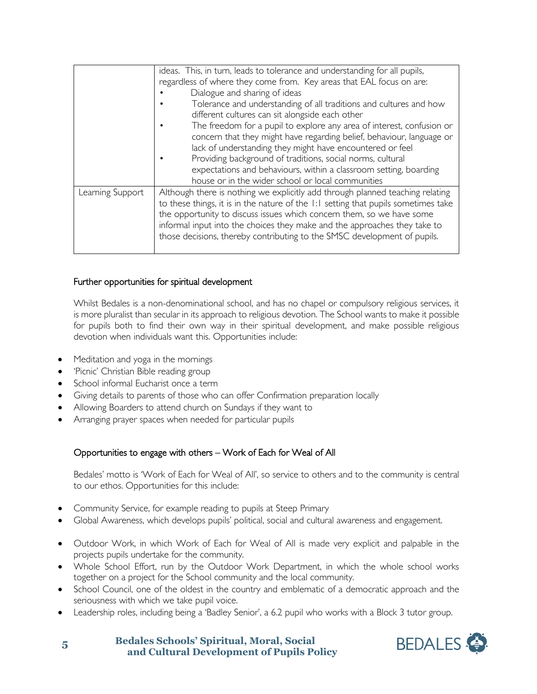|                  | ideas. This, in turn, leads to tolerance and understanding for all pupils,<br>regardless of where they come from. Key areas that EAL focus on are:<br>Dialogue and sharing of ideas<br>Tolerance and understanding of all traditions and cultures and how<br>different cultures can sit alongside each other<br>The freedom for a pupil to explore any area of interest, confusion or<br>concern that they might have regarding belief, behaviour, language or<br>lack of understanding they might have encountered or feel<br>Providing background of traditions, social norms, cultural<br>expectations and behaviours, within a classroom setting, boarding<br>house or in the wider school or local communities |
|------------------|---------------------------------------------------------------------------------------------------------------------------------------------------------------------------------------------------------------------------------------------------------------------------------------------------------------------------------------------------------------------------------------------------------------------------------------------------------------------------------------------------------------------------------------------------------------------------------------------------------------------------------------------------------------------------------------------------------------------|
| Learning Support | Although there is nothing we explicitly add through planned teaching relating<br>to these things, it is in the nature of the 1:1 setting that pupils sometimes take<br>the opportunity to discuss issues which concern them, so we have some<br>informal input into the choices they make and the approaches they take to<br>those decisions, thereby contributing to the SMSC development of pupils.                                                                                                                                                                                                                                                                                                               |

#### Further opportunities for spiritual development

Whilst Bedales is a non-denominational school, and has no chapel or compulsory religious services, it is more pluralist than secular in its approach to religious devotion. The School wants to make it possible for pupils both to find their own way in their spiritual development, and make possible religious devotion when individuals want this. Opportunities include:

- Meditation and yoga in the mornings
- 'Picnic' Christian Bible reading group
- School informal Eucharist once a term
- Giving details to parents of those who can offer Confirmation preparation locally
- Allowing Boarders to attend church on Sundays if they want to
- Arranging prayer spaces when needed for particular pupils

#### Opportunities to engage with others – Work of Each for Weal of All

Bedales' motto is 'Work of Each for Weal of All', so service to others and to the community is central to our ethos. Opportunities for this include:

- Community Service, for example reading to pupils at Steep Primary
- Global Awareness, which develops pupils' political, social and cultural awareness and engagement.
- Outdoor Work, in which Work of Each for Weal of All is made very explicit and palpable in the projects pupils undertake for the community.
- Whole School Effort, run by the Outdoor Work Department, in which the whole school works together on a project for the School community and the local community.
- School Council, one of the oldest in the country and emblematic of a democratic approach and the seriousness with which we take pupil voice.
- Leadership roles, including being a 'Badley Senior', a 6.2 pupil who works with a Block 3 tutor group.

**5 Bedales Schools' Spiritual, Moral, Social and Cultural Development of Pupils Policy**